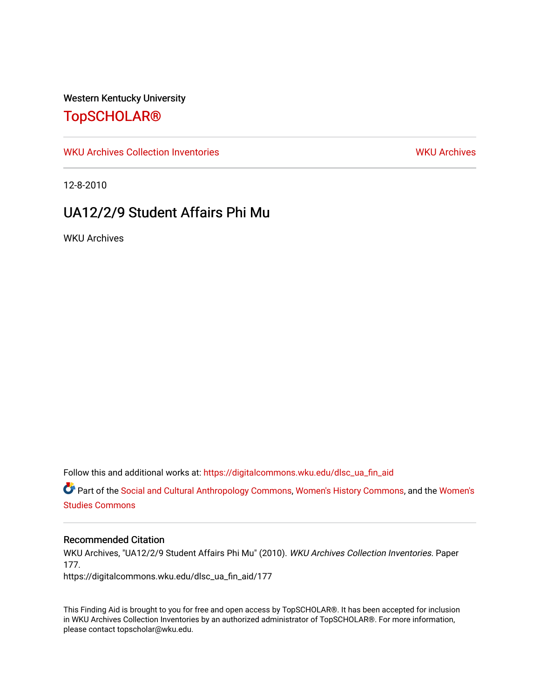### Western Kentucky University

# [TopSCHOLAR®](https://digitalcommons.wku.edu/)

[WKU Archives Collection Inventories](https://digitalcommons.wku.edu/dlsc_ua_fin_aid) [WKU Archives](https://digitalcommons.wku.edu/dlsc_ua) WKU Archives

12-8-2010

# UA12/2/9 Student Affairs Phi Mu

WKU Archives

Follow this and additional works at: [https://digitalcommons.wku.edu/dlsc\\_ua\\_fin\\_aid](https://digitalcommons.wku.edu/dlsc_ua_fin_aid?utm_source=digitalcommons.wku.edu%2Fdlsc_ua_fin_aid%2F177&utm_medium=PDF&utm_campaign=PDFCoverPages) 

Part of the [Social and Cultural Anthropology Commons,](https://network.bepress.com/hgg/discipline/323?utm_source=digitalcommons.wku.edu%2Fdlsc_ua_fin_aid%2F177&utm_medium=PDF&utm_campaign=PDFCoverPages) [Women's History Commons](https://network.bepress.com/hgg/discipline/507?utm_source=digitalcommons.wku.edu%2Fdlsc_ua_fin_aid%2F177&utm_medium=PDF&utm_campaign=PDFCoverPages), and the [Women's](https://network.bepress.com/hgg/discipline/561?utm_source=digitalcommons.wku.edu%2Fdlsc_ua_fin_aid%2F177&utm_medium=PDF&utm_campaign=PDFCoverPages) [Studies Commons](https://network.bepress.com/hgg/discipline/561?utm_source=digitalcommons.wku.edu%2Fdlsc_ua_fin_aid%2F177&utm_medium=PDF&utm_campaign=PDFCoverPages) 

#### Recommended Citation

WKU Archives, "UA12/2/9 Student Affairs Phi Mu" (2010). WKU Archives Collection Inventories. Paper 177.

https://digitalcommons.wku.edu/dlsc\_ua\_fin\_aid/177

This Finding Aid is brought to you for free and open access by TopSCHOLAR®. It has been accepted for inclusion in WKU Archives Collection Inventories by an authorized administrator of TopSCHOLAR®. For more information, please contact topscholar@wku.edu.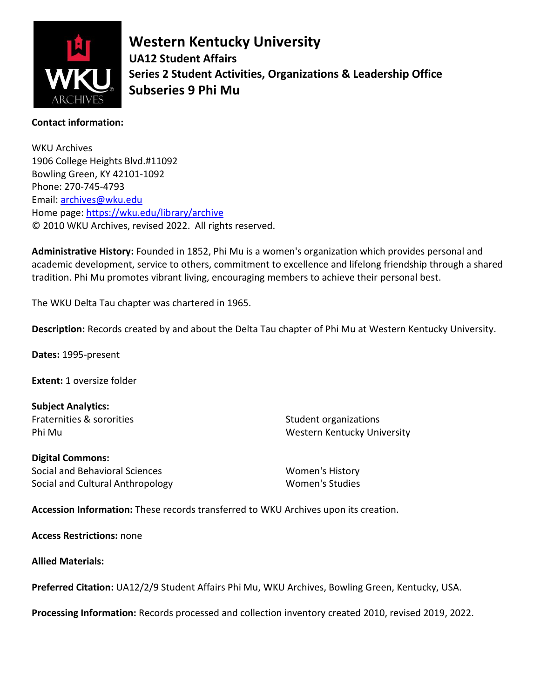

**Western Kentucky University UA12 Student Affairs Series 2 Student Activities, Organizations & Leadership Office Subseries 9 Phi Mu**

### **Contact information:**

WKU Archives 1906 College Heights Blvd.#11092 Bowling Green, KY 42101-1092 Phone: 270-745-4793 Email: [archives@wku.edu](mailto:archives@wku.edu) Home page:<https://wku.edu/library/archive> © 2010 WKU Archives, revised 2022. All rights reserved.

**Administrative History:** Founded in 1852, Phi Mu is a women's organization which provides personal and academic development, service to others, commitment to excellence and lifelong friendship through a shared tradition. Phi Mu promotes vibrant living, encouraging members to achieve their personal best.

The WKU Delta Tau chapter was chartered in 1965.

**Description:** Records created by and about the Delta Tau chapter of Phi Mu at Western Kentucky University.

**Dates:** 1995-present

**Extent:** 1 oversize folder

**Subject Analytics:** Fraternities & sororities Phi Mu

Student organizations Western Kentucky University

**Digital Commons:** Social and Behavioral Sciences Social and Cultural Anthropology

Women's History Women's Studies

**Accession Information:** These records transferred to WKU Archives upon its creation.

**Access Restrictions:** none

**Allied Materials:**

**Preferred Citation:** UA12/2/9 Student Affairs Phi Mu, WKU Archives, Bowling Green, Kentucky, USA.

**Processing Information:** Records processed and collection inventory created 2010, revised 2019, 2022.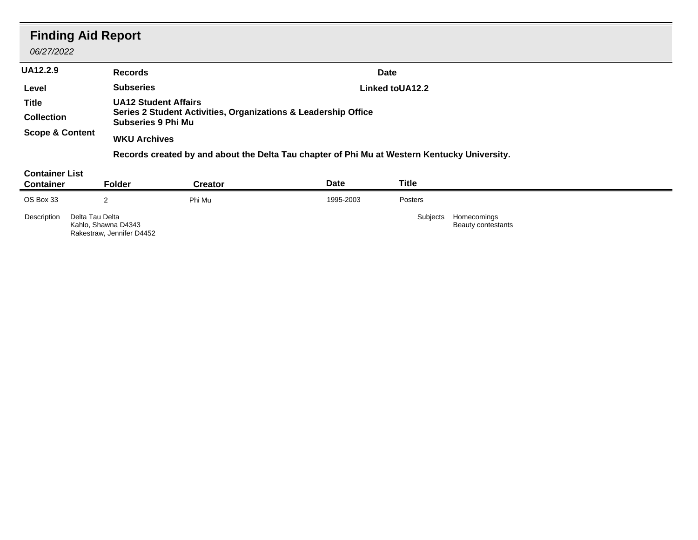| <b>Finding Aid Report</b><br>06/27/2022   |                                                                                              |                                                                |           |                      |  |  |  |
|-------------------------------------------|----------------------------------------------------------------------------------------------|----------------------------------------------------------------|-----------|----------------------|--|--|--|
| <b>UA12.2.9</b>                           | <b>Records</b>                                                                               |                                                                |           | Date                 |  |  |  |
| Level                                     | <b>Subseries</b>                                                                             |                                                                |           | Linked toUA12.2      |  |  |  |
| Title                                     | <b>UA12 Student Affairs</b>                                                                  |                                                                |           |                      |  |  |  |
| <b>Collection</b>                         | <b>Subseries 9 Phi Mu</b>                                                                    | Series 2 Student Activities, Organizations & Leadership Office |           |                      |  |  |  |
| <b>Scope &amp; Content</b>                | <b>WKU Archives</b>                                                                          |                                                                |           |                      |  |  |  |
|                                           | Records created by and about the Delta Tau chapter of Phi Mu at Western Kentucky University. |                                                                |           |                      |  |  |  |
| <b>Container List</b><br><b>Container</b> | <b>Folder</b>                                                                                | <b>Creator</b>                                                 | Date      | <b>Title</b>         |  |  |  |
| OS Box 33                                 | 2                                                                                            | Phi Mu                                                         | 1995-2003 | Posters              |  |  |  |
| Delta Tau Delta<br>Description            |                                                                                              |                                                                |           | Subjects Homecomings |  |  |  |

Beauty contestants

Delta Tau Delta Kahlo, Shawna D4343 Rakestraw, Jennifer D4452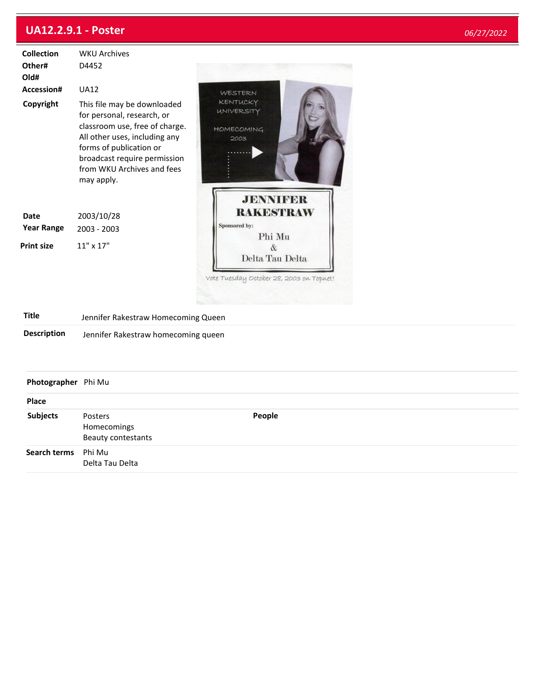## **UA12.2.9.1 - Poster**

**Search terms** Phi Mu

Delta Tau Delta

Beauty contestants

| <b>Collection</b><br>Other#<br>Old# | <b>WKU Archives</b><br>D4452                                                                                                                                                                                                        |                                                                |  |  |  |  |
|-------------------------------------|-------------------------------------------------------------------------------------------------------------------------------------------------------------------------------------------------------------------------------------|----------------------------------------------------------------|--|--|--|--|
| Accession#                          | <b>UA12</b>                                                                                                                                                                                                                         | WESTERN                                                        |  |  |  |  |
| Copyright                           | This file may be downloaded<br>for personal, research, or<br>classroom use, free of charge.<br>All other uses, including any<br>forms of publication or<br>broadcast require permission<br>from WKU Archives and fees<br>may apply. | КЕНТИСКҮ<br><b>UNIVERSITY</b><br><b>HOMECOMING</b><br>2003     |  |  |  |  |
| <b>Date</b><br><b>Year Range</b>    | 2003/10/28<br>2003 - 2003                                                                                                                                                                                                           | <b>JENNIFER</b><br><b>RAKESTRAW</b><br>Sponsored by:<br>Phi Mu |  |  |  |  |
| <b>Print size</b>                   | 11" x 17"                                                                                                                                                                                                                           | $\&$<br>Delta Tau Delta                                        |  |  |  |  |
| <b>Title</b>                        |                                                                                                                                                                                                                                     | Vote Tuesday October 28, 2003 on Topnet!                       |  |  |  |  |
|                                     | Jennifer Rakestraw Homecoming Queen                                                                                                                                                                                                 |                                                                |  |  |  |  |
| <b>Description</b>                  | Jennifer Rakestraw homecoming queen                                                                                                                                                                                                 |                                                                |  |  |  |  |
| Photographer Phi Mu                 |                                                                                                                                                                                                                                     |                                                                |  |  |  |  |
| Place                               |                                                                                                                                                                                                                                     |                                                                |  |  |  |  |
| <b>Subjects</b>                     | Posters<br>Homecomings                                                                                                                                                                                                              | People                                                         |  |  |  |  |